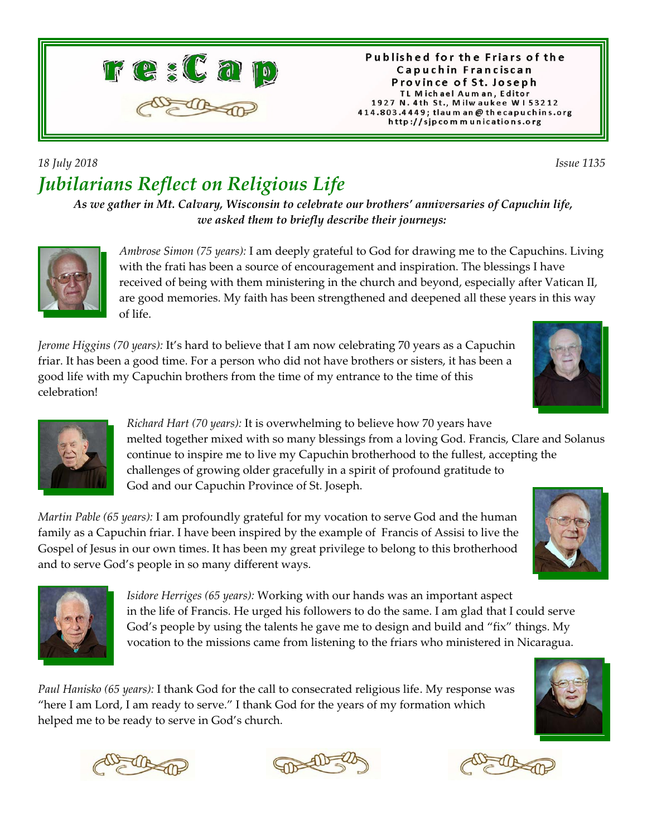

## *18 July 2018 Issue 1135 Jubilarians Reflect on Religious Life*

*As we gather in Mt. Calvary, Wisconsin to celebrate our brothers' anniversaries of Capuchin life, we asked them to briefly describe their journeys:* 



*Ambrose Simon (75 years):* I am deeply grateful to God for drawing me to the Capuchins. Living with the frati has been a source of encouragement and inspiration. The blessings I have received of being with them ministering in the church and beyond, especially after Vatican II, are good memories. My faith has been strengthened and deepened all these years in this way of life.

*Jerome Higgins (70 years):* It's hard to believe that I am now celebrating 70 years as a Capuchin friar. It has been a good time. For a person who did not have brothers or sisters, it has been a good life with my Capuchin brothers from the time of my entrance to the time of this celebration!





*Richard Hart (70 years):* It is overwhelming to believe how 70 years have melted together mixed with so many blessings from a loving God. Francis, Clare and Solanus continue to inspire me to live my Capuchin brotherhood to the fullest, accepting the challenges of growing older gracefully in a spirit of profound gratitude to God and our Capuchin Province of St. Joseph.

*Martin Pable (65 years):* I am profoundly grateful for my vocation to serve God and the human family as a Capuchin friar. I have been inspired by the example of Francis of Assisi to live the Gospel of Jesus in our own times. It has been my great privilege to belong to this brotherhood and to serve God's people in so many different ways.





*Isidore Herriges (65 years):* Working with our hands was an important aspect in the life of Francis. He urged his followers to do the same. I am glad that I could serve God's people by using the talents he gave me to design and build and "fix" things. My vocation to the missions came from listening to the friars who ministered in Nicaragua.

*Paul Hanisko (65 years):* I thank God for the call to consecrated religious life. My response was "here I am Lord, I am ready to serve." I thank God for the years of my formation which helped me to be ready to serve in God's church.









Published for the Friars of the

Capuchin Franciscan Province of St. Joseph TL Michael Auman, Editor 1927 N. 4th St., Milwaukee W153212 414.803.4449; tlaum an @ thecapuchins.org http://sjpcommunications.org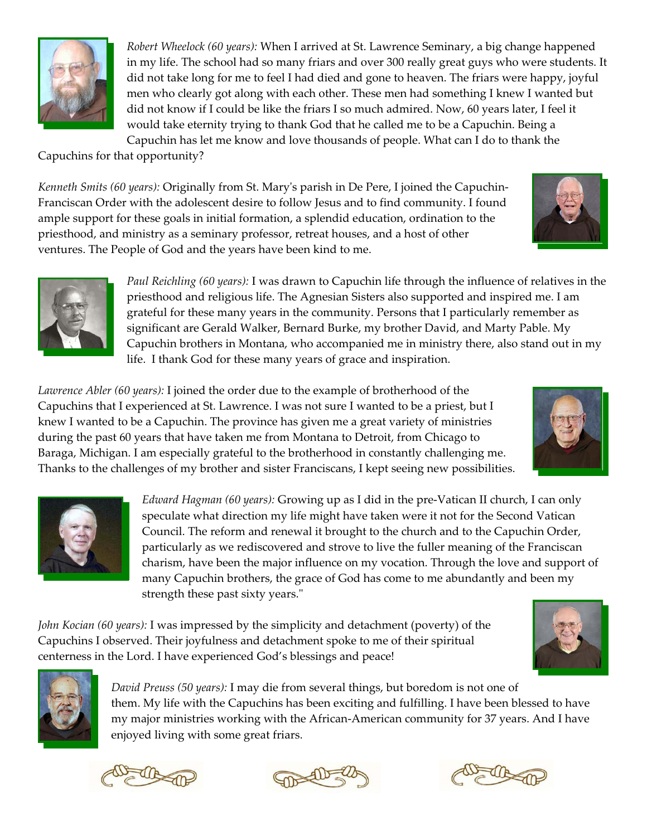

*Robert Wheelock (60 years):* When I arrived at St. Lawrence Seminary, a big change happened in my life. The school had so many friars and over 300 really great guys who were students. It did not take long for me to feel I had died and gone to heaven. The friars were happy, joyful men who clearly got along with each other. These men had something I knew I wanted but did not know if I could be like the friars I so much admired. Now, 60 years later, I feel it would take eternity trying to thank God that he called me to be a Capuchin. Being a Capuchin has let me know and love thousands of people. What can I do to thank the

Capuchins for that opportunity?

*Kenneth Smits (60 years):* Originally from St. Mary's parish in De Pere, I joined the Capuchin-Franciscan Order with the adolescent desire to follow Jesus and to find community. I found ample support for these goals in initial formation, a splendid education, ordination to the priesthood, and ministry as a seminary professor, retreat houses, and a host of other ventures. The People of God and the years have been kind to me.





*Paul Reichling (60 years):* I was drawn to Capuchin life through the influence of relatives in the priesthood and religious life. The Agnesian Sisters also supported and inspired me. I am grateful for these many years in the community. Persons that I particularly remember as significant are Gerald Walker, Bernard Burke, my brother David, and Marty Pable. My Capuchin brothers in Montana, who accompanied me in ministry there, also stand out in my life. I thank God for these many years of grace and inspiration.

*Lawrence Abler (60 years):* I joined the order due to the example of brotherhood of the Capuchins that I experienced at St. Lawrence. I was not sure I wanted to be a priest, but I knew I wanted to be a Capuchin. The province has given me a great variety of ministries during the past 60 years that have taken me from Montana to Detroit, from Chicago to Baraga, Michigan. I am especially grateful to the brotherhood in constantly challenging me. Thanks to the challenges of my brother and sister Franciscans, I kept seeing new possibilities.





*Edward Hagman (60 years):* Growing up as I did in the pre-Vatican II church, I can only speculate what direction my life might have taken were it not for the Second Vatican Council. The reform and renewal it brought to the church and to the Capuchin Order, particularly as we rediscovered and strove to live the fuller meaning of the Franciscan charism, have been the major influence on my vocation. Through the love and support of many Capuchin brothers, the grace of God has come to me abundantly and been my strength these past sixty years."

*John Kocian (60 years):* I was impressed by the simplicity and detachment (poverty) of the Capuchins I observed. Their joyfulness and detachment spoke to me of their spiritual centerness in the Lord. I have experienced God's blessings and peace!



*David Preuss (50 years):* I may die from several things, but boredom is not one of them. My life with the Capuchins has been exciting and fulfilling. I have been blessed to have my major ministries working with the African-American community for 37 years. And I have enjoyed living with some great friars.





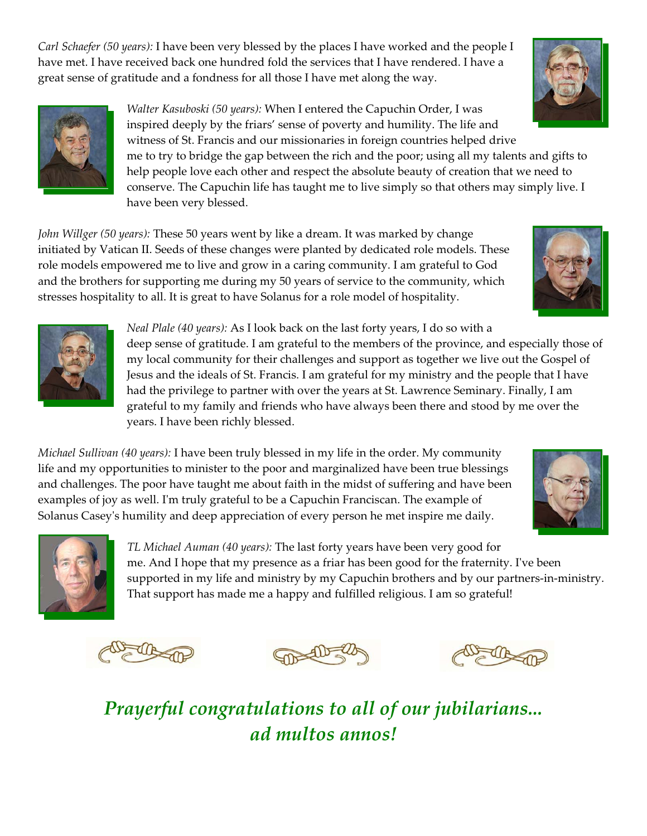*Carl Schaefer (50 years):* I have been very blessed by the places I have worked and the people I have met. I have received back one hundred fold the services that I have rendered. I have a great sense of gratitude and a fondness for all those I have met along the way.



*Walter Kasuboski (50 years):* When I entered the Capuchin Order, I was inspired deeply by the friars' sense of poverty and humility. The life and witness of St. Francis and our missionaries in foreign countries helped drive me to try to bridge the gap between the rich and the poor; using all my talents and gifts to help people love each other and respect the absolute beauty of creation that we need to conserve. The Capuchin life has taught me to live simply so that others may simply live. I have been very blessed.

*John Willger (50 years):* These 50 years went by like a dream. It was marked by change initiated by Vatican II. Seeds of these changes were planted by dedicated role models. These role models empowered me to live and grow in a caring community. I am grateful to God and the brothers for supporting me during my 50 years of service to the community, which stresses hospitality to all. It is great to have Solanus for a role model of hospitality.



*Neal Plale (40 years):* As I look back on the last forty years, I do so with a deep sense of gratitude. I am grateful to the members of the province, and especially those of my local community for their challenges and support as together we live out the Gospel of Jesus and the ideals of St. Francis. I am grateful for my ministry and the people that I have had the privilege to partner with over the years at St. Lawrence Seminary. Finally, I am grateful to my family and friends who have always been there and stood by me over the years. I have been richly blessed.

*Michael Sullivan (40 years):* I have been truly blessed in my life in the order. My community life and my opportunities to minister to the poor and marginalized have been true blessings and challenges. The poor have taught me about faith in the midst of suffering and have been examples of joy as well. I'm truly grateful to be a Capuchin Franciscan. The example of Solanus Casey's humility and deep appreciation of every person he met inspire me daily.





*TL Michael Auman (40 years):* The last forty years have been very good for me. And I hope that my presence as a friar has been good for the fraternity. I've been supported in my life and ministry by my Capuchin brothers and by our partners-in-ministry. That support has made me a happy and fulfilled religious. I am so grateful!







*Prayerful congratulations to all of our jubilarians... ad multos annos!*